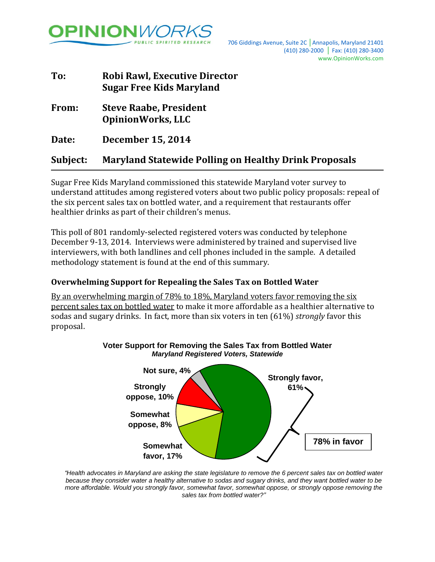

| To:      | <b>Robi Rawl, Executive Director</b><br><b>Sugar Free Kids Maryland</b> |  |  |
|----------|-------------------------------------------------------------------------|--|--|
| From:    | <b>Steve Raabe, President</b><br><b>OpinionWorks, LLC</b>               |  |  |
| Date:    | <b>December 15, 2014</b>                                                |  |  |
| Subject: | <b>Maryland Statewide Polling on Healthy Drink Proposals</b>            |  |  |

Sugar Free Kids Maryland commissioned this statewide Maryland voter survey to understand attitudes among registered voters about two public policy proposals: repeal of the six percent sales tax on bottled water, and a requirement that restaurants offer healthier drinks as part of their children's menus.

This poll of 801 randomly-selected registered voters was conducted by telephone December 9-13, 2014. Interviews were administered by trained and supervised live interviewers, with both landlines and cell phones included in the sample. A detailed methodology statement is found at the end of this summary.

### **Overwhelming Support for Repealing the Sales Tax on Bottled Water**

By an overwhelming margin of 78% to 18%, Maryland voters favor removing the six percent sales tax on bottled water to make it more affordable as a healthier alternative to sodas and sugary drinks. In fact, more than six voters in ten (61%) *strongly* favor this proposal.



# **Voter Support for Removing the Sales Tax from Bottled Water** *Maryland Registered Voters, Statewide*

*"Health advocates in Maryland are asking the state legislature to remove the 6 percent sales tax on bottled water because they consider water a healthy alternative to sodas and sugary drinks, and they want bottled water to be more affordable. Would you strongly favor, somewhat favor, somewhat oppose, or strongly oppose removing the sales tax from bottled water?"*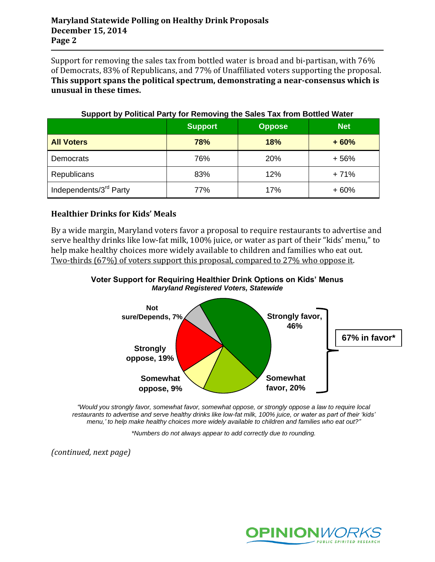Support for removing the sales tax from bottled water is broad and bi-partisan, with 76% of Democrats, 83% of Republicans, and 77% of Unaffiliated voters supporting the proposal. **This support spans the political spectrum, demonstrating a near-consensus which is unusual in these times.**

| . .                                |                |               |            |  |  |
|------------------------------------|----------------|---------------|------------|--|--|
|                                    | <b>Support</b> | <b>Oppose</b> | <b>Net</b> |  |  |
| <b>All Voters</b>                  | 78%            | 18%           | $+60%$     |  |  |
| Democrats                          | 76%            | <b>20%</b>    | $+56%$     |  |  |
| <b>Republicans</b>                 | 83%            | 12%           | $+71%$     |  |  |
| Independents/3 <sup>rd</sup> Party | 77%            | 17%           | $+60%$     |  |  |

## **Support by Political Party for Removing the Sales Tax from Bottled Water**

# **Healthier Drinks for Kids' Meals**

By a wide margin, Maryland voters favor a proposal to require restaurants to advertise and serve healthy drinks like low-fat milk, 100% juice, or water as part of their "kids' menu," to help make healthy choices more widely available to children and families who eat out. Two-thirds (67%) of voters support this proposal, compared to 27% who oppose it.

**Voter Support for Requiring Healthier Drink Options on Kids' Menus** *Maryland Registered Voters, Statewide*



*"Would you strongly favor, somewhat favor, somewhat oppose, or strongly oppose a law to require local restaurants to advertise and serve healthy drinks like low-fat milk, 100% juice, or water as part of their 'kids' menu,' to help make healthy choices more widely available to children and families who eat out?"*

*\*Numbers do not always appear to add correctly due to rounding.*

*(continued, next page)*